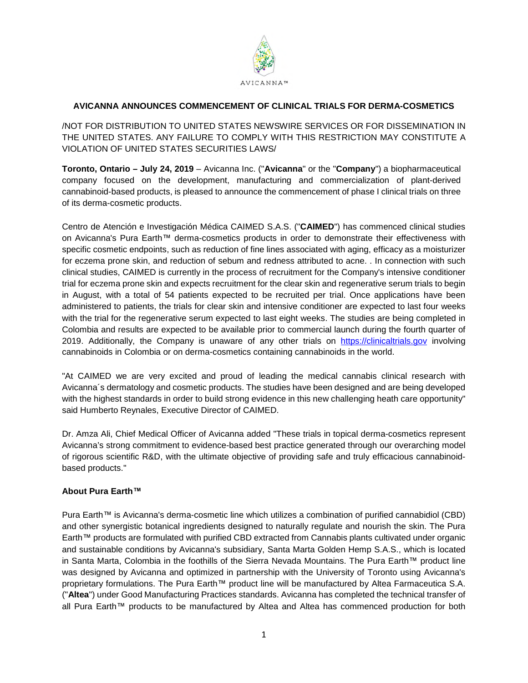

# **AVICANNA ANNOUNCES COMMENCEMENT OF CLINICAL TRIALS FOR DERMA-COSMETICS**

/NOT FOR DISTRIBUTION TO UNITED STATES NEWSWIRE SERVICES OR FOR DISSEMINATION IN THE UNITED STATES. ANY FAILURE TO COMPLY WITH THIS RESTRICTION MAY CONSTITUTE A VIOLATION OF UNITED STATES SECURITIES LAWS/

**Toronto, Ontario – July 24, 2019** – Avicanna Inc. ("**Avicanna**" or the "**Company**") a biopharmaceutical company focused on the development, manufacturing and commercialization of plant-derived cannabinoid-based products, is pleased to announce the commencement of phase I clinical trials on three of its derma-cosmetic products.

Centro de Atención e Investigación Médica CAIMED S.A.S. ("**CAIMED**") has commenced clinical studies on Avicanna's Pura Earth™ derma-cosmetics products in order to demonstrate their effectiveness with specific cosmetic endpoints, such as reduction of fine lines associated with aging, efficacy as a moisturizer for eczema prone skin, and reduction of sebum and redness attributed to acne. . In connection with such clinical studies, CAIMED is currently in the process of recruitment for the Company's intensive conditioner trial for eczema prone skin and expects recruitment for the clear skin and regenerative serum trials to begin in August, with a total of 54 patients expected to be recruited per trial. Once applications have been administered to patients, the trials for clear skin and intensive conditioner are expected to last four weeks with the trial for the regenerative serum expected to last eight weeks. The studies are being completed in Colombia and results are expected to be available prior to commercial launch during the fourth quarter of 2019. Additionally, the Company is unaware of any other trials on https://clinicaltrials.gov involving cannabinoids in Colombia or on derma-cosmetics containing cannabinoids in the world.

"At CAIMED we are very excited and proud of leading the medical cannabis clinical research with Avicanna´s dermatology and cosmetic products. The studies have been designed and are being developed with the highest standards in order to build strong evidence in this new challenging heath care opportunity" said Humberto Reynales, Executive Director of CAIMED.

Dr. Amza Ali, Chief Medical Officer of Avicanna added "These trials in topical derma-cosmetics represent Avicanna's strong commitment to evidence-based best practice generated through our overarching model of rigorous scientific R&D, with the ultimate objective of providing safe and truly efficacious cannabinoidbased products."

# **About Pura Earth™**

Pura Earth™ is Avicanna's derma-cosmetic line which utilizes a combination of purified cannabidiol (CBD) and other synergistic botanical ingredients designed to naturally regulate and nourish the skin. The Pura Earth™ products are formulated with purified CBD extracted from Cannabis plants cultivated under organic and sustainable conditions by Avicanna's subsidiary, Santa Marta Golden Hemp S.A.S., which is located in Santa Marta, Colombia in the foothills of the Sierra Nevada Mountains. The Pura Earth™ product line was designed by Avicanna and optimized in partnership with the University of Toronto using Avicanna's proprietary formulations. The Pura Earth™ product line will be manufactured by Altea Farmaceutica S.A. ("**Altea**") under Good Manufacturing Practices standards. Avicanna has completed the technical transfer of all Pura Earth™ products to be manufactured by Altea and Altea has commenced production for both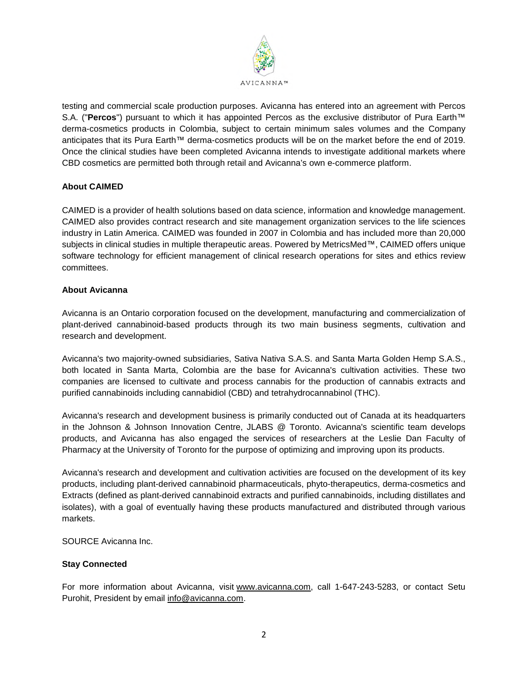

testing and commercial scale production purposes. Avicanna has entered into an agreement with Percos S.A. ("**Percos**") pursuant to which it has appointed Percos as the exclusive distributor of Pura Earth™ derma-cosmetics products in Colombia, subject to certain minimum sales volumes and the Company anticipates that its Pura Earth™ derma-cosmetics products will be on the market before the end of 2019. Once the clinical studies have been completed Avicanna intends to investigate additional markets where CBD cosmetics are permitted both through retail and Avicanna's own e-commerce platform.

# **About CAIMED**

CAIMED is a provider of health solutions based on data science, information and knowledge management. CAIMED also provides contract research and site management organization services to the life sciences industry in Latin America. CAIMED was founded in 2007 in Colombia and has included more than 20,000 subjects in clinical studies in multiple therapeutic areas. Powered by MetricsMed™, CAIMED offers unique software technology for efficient management of clinical research operations for sites and ethics review committees.

# **About Avicanna**

Avicanna is an Ontario corporation focused on the development, manufacturing and commercialization of plant-derived cannabinoid-based products through its two main business segments, cultivation and research and development.

Avicanna's two majority-owned subsidiaries, Sativa Nativa S.A.S. and Santa Marta Golden Hemp S.A.S., both located in Santa Marta, Colombia are the base for Avicanna's cultivation activities. These two companies are licensed to cultivate and process cannabis for the production of cannabis extracts and purified cannabinoids including cannabidiol (CBD) and tetrahydrocannabinol (THC).

Avicanna's research and development business is primarily conducted out of Canada at its headquarters in the Johnson & Johnson Innovation Centre, JLABS @ Toronto. Avicanna's scientific team develops products, and Avicanna has also engaged the services of researchers at the Leslie Dan Faculty of Pharmacy at the University of Toronto for the purpose of optimizing and improving upon its products.

Avicanna's research and development and cultivation activities are focused on the development of its key products, including plant-derived cannabinoid pharmaceuticals, phyto-therapeutics, derma-cosmetics and Extracts (defined as plant-derived cannabinoid extracts and purified cannabinoids, including distillates and isolates), with a goal of eventually having these products manufactured and distributed through various markets.

SOURCE Avicanna Inc.

# **Stay Connected**

For more information about Avicanna, visit www.avicanna.com, call 1-647-243-5283, or contact Setu Purohit, President by email info@avicanna.com.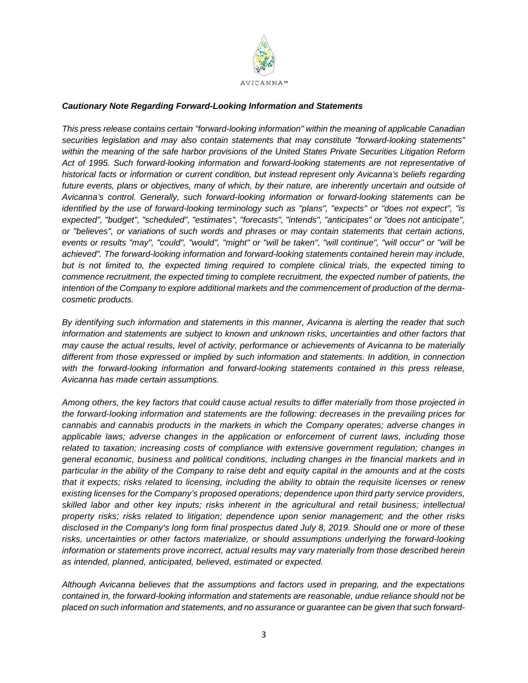

### *Cautionary Note Regarding Forward-Looking Information and Statements*

*This press release contains certain "forward-looking information" within the meaning of applicable Canadian securities legislation and may also contain statements that may constitute "forward-looking statements" within the meaning of the safe harbor provisions of the United States Private Securities Litigation Reform Act of 1995. Such forward-looking information and forward-looking statements are not representative of historical facts or information or current condition, but instead represent only Avicanna's beliefs regarding future events, plans or objectives, many of which, by their nature, are inherently uncertain and outside of Avicanna's control. Generally, such forward-looking information or forward-looking statements can be identified by the use of forward-looking terminology such as "plans", "expects" or "does not expect", "is expected", "budget", "scheduled", "estimates", "forecasts", "intends", "anticipates" or "does not anticipate", or "believes", or variations of such words and phrases or may contain statements that certain actions, events or results "may", "could", "would", "might" or "will be taken", "will continue", "will occur" or "will be achieved". The forward-looking information and forward-looking statements contained herein may include, but is not limited to, the expected timing required to complete clinical trials, the expected timing to commence recruitment, the expected timing to complete recruitment, the expected number of patients, the intention of the Company to explore additional markets and the commencement of production of the dermacosmetic products.* 

*By identifying such information and statements in this manner, Avicanna is alerting the reader that such information and statements are subject to known and unknown risks, uncertainties and other factors that may cause the actual results, level of activity, performance or achievements of Avicanna to be materially different from those expressed or implied by such information and statements. In addition, in connection*  with the forward-looking information and forward-looking statements contained in this press release, *Avicanna has made certain assumptions.* 

*Among others, the key factors that could cause actual results to differ materially from those projected in the forward-looking information and statements are the following: decreases in the prevailing prices for cannabis and cannabis products in the markets in which the Company operates; adverse changes in applicable laws; adverse changes in the application or enforcement of current laws, including those related to taxation; increasing costs of compliance with extensive government regulation; changes in general economic, business and political conditions, including changes in the financial markets and in particular in the ability of the Company to raise debt and equity capital in the amounts and at the costs that it expects; risks related to licensing, including the ability to obtain the requisite licenses or renew existing licenses for the Company's proposed operations; dependence upon third party service providers, skilled labor and other key inputs; risks inherent in the agricultural and retail business; intellectual property risks; risks related to litigation; dependence upon senior management; and the other risks disclosed in the Company's long form final prospectus dated July 8, 2019. Should one or more of these risks, uncertainties or other factors materialize, or should assumptions underlying the forward-looking information or statements prove incorrect, actual results may vary materially from those described herein as intended, planned, anticipated, believed, estimated or expected.* 

*Although Avicanna believes that the assumptions and factors used in preparing, and the expectations contained in, the forward-looking information and statements are reasonable, undue reliance should not be placed on such information and statements, and no assurance or guarantee can be given that such forward-*